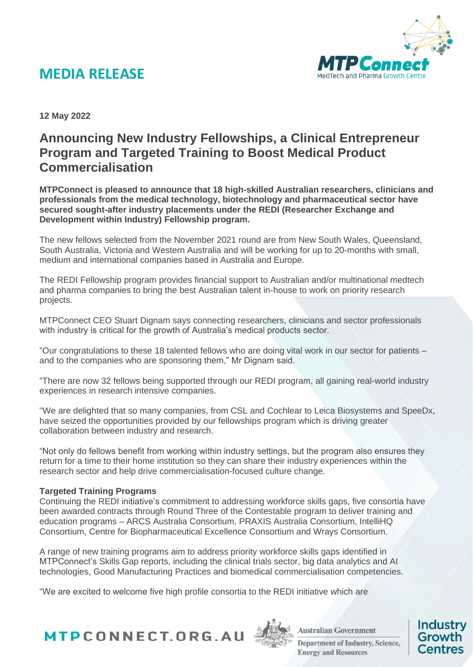

**12 May 2022**

### **Announcing New Industry Fellowships, a Clinical Entrepreneur Program and Targeted Training to Boost Medical Product Commercialisation**

**MTPConnect is pleased to announce that 18 high-skilled Australian researchers, clinicians and professionals from the medical technology, biotechnology and pharmaceutical sector have secured sought-after industry placements under the REDI (Researcher Exchange and Development within Industry) Fellowship program.**

The new fellows selected from the November 2021 round are from New South Wales, Queensland, South Australia, Victoria and Western Australia and will be working for up to 20-months with small, medium and international companies based in Australia and Europe.

The REDI Fellowship program provides financial support to Australian and/or multinational medtech and pharma companies to bring the best Australian talent in-house to work on priority research projects.

MTPConnect CEO Stuart Dignam says connecting researchers, clinicians and sector professionals with industry is critical for the growth of Australia's medical products sector.

"Our congratulations to these 18 talented fellows who are doing vital work in our sector for patients – and to the companies who are sponsoring them," Mr Dignam said.

"There are now 32 fellows being supported through our REDI program, all gaining real-world industry experiences in research intensive companies.

"We are delighted that so many companies, from CSL and Cochlear to Leica Biosystems and SpeeDx, have seized the opportunities provided by our fellowships program which is driving greater collaboration between industry and research.

"Not only do fellows benefit from working within industry settings, but the program also ensures they return for a time to their home institution so they can share their industry experiences within the research sector and help drive commercialisation-focused culture change.

#### **Targeted Training Programs**

Continuing the REDI initiative's commitment to addressing workforce skills gaps, five consortia have been awarded contracts through Round Three of the Contestable program to deliver training and education programs – ARCS Australia Consortium, PRAXIS Australia Consortium, IntelliHQ Consortium, Centre for Biopharmaceutical Excellence Consortium and Wrays Consortium.

A range of new training programs aim to address priority workforce skills gaps identified in MTPConnect's Skills Gap reports, including the clinical trials sector, big data analytics and AI technologies, Good Manufacturing Practices and biomedical commercialisation competencies.

"We are excited to welcome five high profile consortia to the REDI initiative which are





**Australian Government Department of Industry, Science, Energy and Resources** 

**Industry** 

Growth

Centres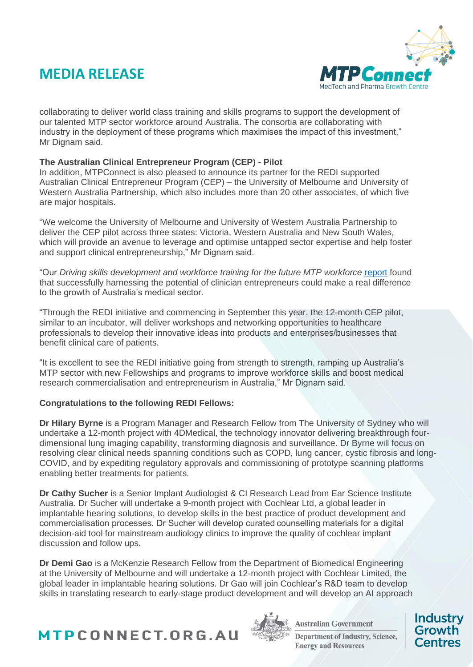

collaborating to deliver world class training and skills programs to support the development of our talented MTP sector workforce around Australia. The consortia are collaborating with industry in the deployment of these programs which maximises the impact of this investment," Mr Dignam said.

#### **The Australian Clinical Entrepreneur Program (CEP) - Pilot**

In addition, MTPConnect is also pleased to announce its partner for the REDI supported Australian Clinical Entrepreneur Program (CEP) – the University of Melbourne and University of Western Australia Partnership, which also includes more than 20 other associates, of which five are major hospitals.

"We welcome the University of Melbourne and University of Western Australia Partnership to deliver the CEP pilot across three states: Victoria, Western Australia and New South Wales, which will provide an avenue to leverage and optimise untapped sector expertise and help foster and support clinical entrepreneurship," Mr Dignam said.

"Our *Driving skills development and workforce training for the future MTP workforce* [report](https://www.mtpconnect.org.au/images/MTPC%20REDI%20Skills%20Gap%20Second%20Report.pdf) found that successfully harnessing the potential of clinician entrepreneurs could make a real difference to the growth of Australia's medical sector.

"Through the REDI initiative and commencing in September this year, the 12-month CEP pilot, similar to an incubator, will deliver workshops and networking opportunities to healthcare professionals to develop their innovative ideas into products and enterprises/businesses that benefit clinical care of patients.

"It is excellent to see the REDI initiative going from strength to strength, ramping up Australia's MTP sector with new Fellowships and programs to improve workforce skills and boost medical research commercialisation and entrepreneurism in Australia," Mr Dignam said.

#### **Congratulations to the following REDI Fellows:**

**Dr Hilary Byrne** is a Program Manager and Research Fellow from The University of Sydney who will undertake a 12-month project with 4DMedical, the technology innovator delivering breakthrough fourdimensional lung imaging capability, transforming diagnosis and surveillance. Dr Byrne will focus on resolving clear clinical needs spanning conditions such as COPD, lung cancer, cystic fibrosis and long-COVID, and by expediting regulatory approvals and commissioning of prototype scanning platforms enabling better treatments for patients.

**Dr Cathy Sucher** is a Senior Implant Audiologist & CI Research Lead from Ear Science Institute Australia. Dr Sucher will undertake a 9-month project with Cochlear Ltd, a global leader in implantable hearing solutions, to develop skills in the best practice of product development and commercialisation processes. Dr Sucher will develop curated counselling materials for a digital decision-aid tool for mainstream audiology clinics to improve the quality of cochlear implant discussion and follow ups.

**Dr Demi Gao** is a McKenzie Research Fellow from the Department of Biomedical Engineering at the University of Melbourne and will undertake a 12-month project with Cochlear Limited, the global leader in implantable hearing solutions. Dr Gao will join Cochlear's R&D team to develop skills in translating research to early-stage product development and will develop an AI approach





**Australian Government Department of Industry, Science, Energy and Resources**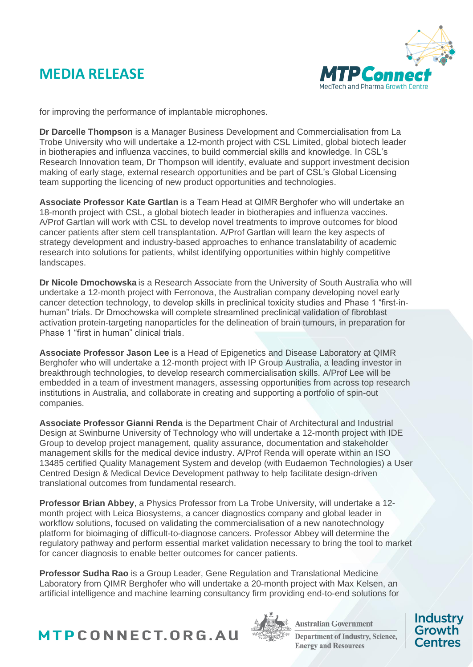

for improving the performance of implantable microphones.

**Dr Darcelle Thompson** is a Manager Business Development and Commercialisation from La Trobe University who will undertake a 12-month project with CSL Limited, global biotech leader in biotherapies and influenza vaccines, to build commercial skills and knowledge. In CSL's Research Innovation team, Dr Thompson will identify, evaluate and support investment decision making of early stage, external research opportunities and be part of CSL's Global Licensing team supporting the licencing of new product opportunities and technologies.

**Associate Professor Kate Gartlan** is a Team Head at QIMR Berghofer who will undertake an 18-month project with CSL, a global biotech leader in biotherapies and influenza vaccines. A/Prof Gartlan will work with CSL to develop novel treatments to improve outcomes for blood cancer patients after stem cell transplantation. A/Prof Gartlan will learn the key aspects of strategy development and industry-based approaches to enhance translatability of academic research into solutions for patients, whilst identifying opportunities within highly competitive landscapes.

**Dr Nicole Dmochowska** is a Research Associate from the University of South Australia who will undertake a 12-month project with Ferronova, the Australian company developing novel early cancer detection technology, to develop skills in preclinical toxicity studies and Phase 1 "first-inhuman" trials. Dr Dmochowska will complete streamlined preclinical validation of fibroblast activation protein-targeting nanoparticles for the delineation of brain tumours, in preparation for Phase 1 "first in human" clinical trials.

**Associate Professor Jason Lee** is a Head of Epigenetics and Disease Laboratory at QIMR Berghofer who will undertake a 12-month project with IP Group Australia, a leading investor in breakthrough technologies, to develop research commercialisation skills. A/Prof Lee will be embedded in a team of investment managers, assessing opportunities from across top research institutions in Australia, and collaborate in creating and supporting a portfolio of spin-out companies.

**Associate Professor Gianni Renda** is the Department Chair of Architectural and Industrial Design at Swinburne University of Technology who will undertake a 12-month project with IDE Group to develop project management, quality assurance, documentation and stakeholder management skills for the medical device industry. A/Prof Renda will operate within an ISO 13485 certified Quality Management System and develop (with Eudaemon Technologies) a User Centred Design & Medical Device Development pathway to help facilitate design-driven translational outcomes from fundamental research.

**Professor Brian Abbey**, a Physics Professor from La Trobe University, will undertake a 12 month project with Leica Biosystems, a cancer diagnostics company and global leader in workflow solutions, focused on validating the commercialisation of a new nanotechnology platform for bioimaging of difficult-to-diagnose cancers. Professor Abbey will determine the regulatory pathway and perform essential market validation necessary to bring the tool to market for cancer diagnosis to enable better outcomes for cancer patients.

**Professor Sudha Rao** is a Group Leader, Gene Regulation and Translational Medicine Laboratory from QIMR Berghofer who will undertake a 20-month project with Max Kelsen, an artificial intelligence and machine learning consultancy firm providing end-to-end solutions for





**Australian Government Department of Industry, Science, Energy and Resources**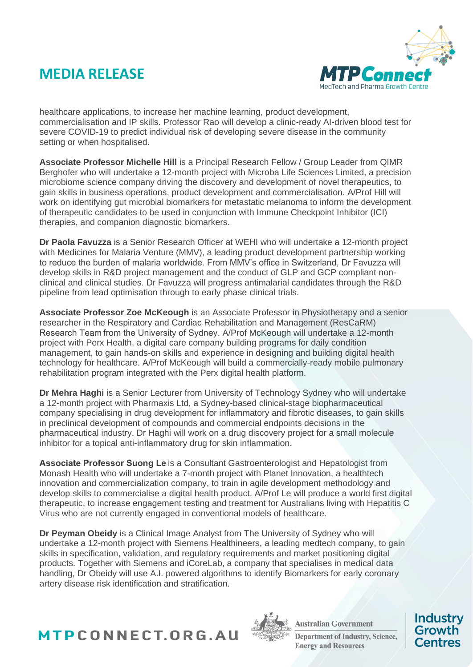

healthcare applications, to increase her machine learning, product development, commercialisation and IP skills. Professor Rao will develop a clinic-ready AI-driven blood test for severe COVID-19 to predict individual risk of developing severe disease in the community setting or when hospitalised.

**Associate Professor Michelle Hill** is a Principal Research Fellow / Group Leader from QIMR Berghofer who will undertake a 12-month project with Microba Life Sciences Limited, a precision microbiome science company driving the discovery and development of novel therapeutics, to gain skills in business operations, product development and commercialisation. A/Prof Hill will work on identifying gut microbial biomarkers for metastatic melanoma to inform the development of therapeutic candidates to be used in conjunction with Immune Checkpoint Inhibitor (ICI) therapies, and companion diagnostic biomarkers.

**Dr Paola Favuzza** is a Senior Research Officer at WEHI who will undertake a 12-month project with Medicines for Malaria Venture (MMV), a leading product development partnership working to reduce the burden of malaria worldwide. From MMV's office in Switzerland, Dr Favuzza will develop skills in R&D project management and the conduct of GLP and GCP compliant nonclinical and clinical studies. Dr Favuzza will progress antimalarial candidates through the R&D pipeline from lead optimisation through to early phase clinical trials.

**Associate Professor Zoe McKeough** is an Associate Professor in Physiotherapy and a senior researcher in the Respiratory and Cardiac Rehabilitation and Management (ResCaRM) Research Team from the University of Sydney. A/Prof McKeough will undertake a 12-month project with Perx Health, a digital care company building programs for daily condition management, to gain hands-on skills and experience in designing and building digital health technology for healthcare. A/Prof McKeough will build a commercially-ready mobile pulmonary rehabilitation program integrated with the Perx digital health platform.

**Dr Mehra Haghi** is a Senior Lecturer from University of Technology Sydney who will undertake a 12-month project with Pharmaxis Ltd, a Sydney-based clinical-stage biopharmaceutical company specialising in drug development for inflammatory and fibrotic diseases, to gain skills in preclinical development of compounds and commercial endpoints decisions in the pharmaceutical industry. Dr Haghi will work on a drug discovery project for a small molecule inhibitor for a topical anti-inflammatory drug for skin inflammation.

**Associate Professor Suong Le**is a Consultant Gastroenterologist and Hepatologist from Monash Health who will undertake a 7-month project with Planet Innovation, a healthtech innovation and commercialization company, to train in agile development methodology and develop skills to commercialise a digital health product. A/Prof Le will produce a world first digital therapeutic, to increase engagement testing and treatment for Australians living with Hepatitis C Virus who are not currently engaged in conventional models of healthcare.

**Dr Peyman Obeidy** is a Clinical Image Analyst from The University of Sydney who will undertake a 12-month project with Siemens Healthineers, a leading medtech company, to gain skills in specification, validation, and regulatory requirements and market positioning digital products. Together with Siemens and iCoreLab, a company that specialises in medical data handling, Dr Obeidy will use A.I. powered algorithms to identify Biomarkers for early coronary artery disease risk identification and stratification.





**Australian Government Department of Industry, Science, Energy and Resources**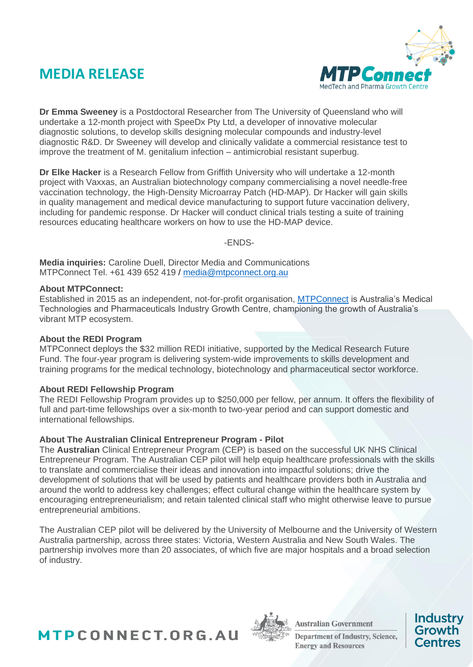

**Dr Emma Sweeney** is a Postdoctoral Researcher from The University of Queensland who will undertake a 12-month project with SpeeDx Pty Ltd, a developer of innovative molecular diagnostic solutions, to develop skills designing molecular compounds and industry-level diagnostic R&D. Dr Sweeney will develop and clinically validate a commercial resistance test to improve the treatment of M. genitalium infection – antimicrobial resistant superbug.

**Dr Elke Hacker** is a Research Fellow from Griffith University who will undertake a 12-month project with Vaxxas, an Australian biotechnology company commercialising a novel needle-free vaccination technology, the High-Density Microarray Patch (HD-MAP). Dr Hacker will gain skills in quality management and medical device manufacturing to support future vaccination delivery, including for pandemic response. Dr Hacker will conduct clinical trials testing a suite of training resources educating healthcare workers on how to use the HD-MAP device.

-ENDS-

**Media inquiries:** Caroline Duell, Director Media and Communications MTPConnect Tel. +61 439 652 419 / [media@mtpconnect.org.au](mailto:media@mtpconnect.org.au)

#### **About MTPConnect:**

Established in 2015 as an independent, not-for-profit organisation, [MTPConnect](http://www.mtpconnect.org.au/) is Australia's Medical Technologies and Pharmaceuticals Industry Growth Centre, championing the growth of Australia's vibrant MTP ecosystem.

#### **About the REDI Program**

MTPConnect deploys the \$32 million REDI initiative, supported by the Medical Research Future Fund. The four-year program is delivering system-wide improvements to skills development and training programs for the medical technology, biotechnology and pharmaceutical sector workforce.

#### **About REDI Fellowship Program**

The REDI Fellowship Program provides up to \$250,000 per fellow, per annum. It offers the flexibility of full and part-time fellowships over a six-month to two-year period and can support domestic and international fellowships.

#### **About The Australian Clinical Entrepreneur Program - Pilot**

The **Australian** Clinical Entrepreneur Program (CEP) is based on the successful UK NHS Clinical Entrepreneur Program. The Australian CEP pilot will help equip healthcare professionals with the skills to translate and commercialise their ideas and innovation into impactful solutions; drive the development of solutions that will be used by patients and healthcare providers both in Australia and around the world to address key challenges; effect cultural change within the healthcare system by encouraging entrepreneurialism; and retain talented clinical staff who might otherwise leave to pursue entrepreneurial ambitions.

The Australian CEP pilot will be delivered by the University of Melbourne and the University of Western Australia partnership, across three states: Victoria, Western Australia and New South Wales. The partnership involves more than 20 associates, of which five are major hospitals and a broad selection of industry.





**Australian Government Department of Industry, Science, Energy and Resources**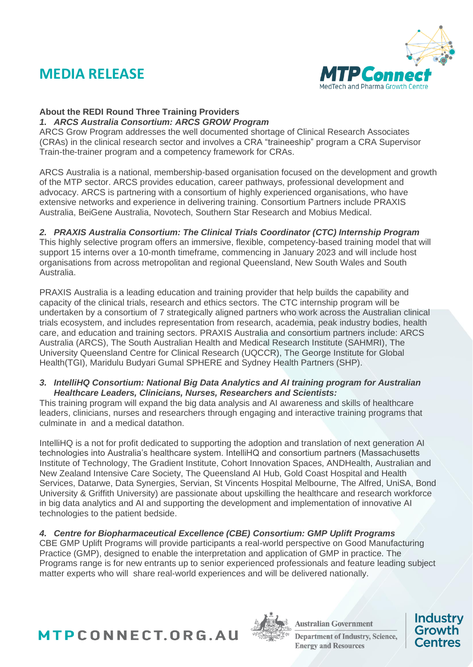

### **About the REDI Round Three Training Providers**

*1. ARCS Australia Consortium: ARCS GROW Program*  ARCS Grow Program addresses the well documented shortage of Clinical Research Associates (CRAs) in the clinical research sector and involves a CRA "traineeship" program a CRA Supervisor Train-the-trainer program and a competency framework for CRAs.

ARCS Australia is a national, membership-based organisation focused on the development and growth of the MTP sector. ARCS provides education, career pathways, professional development and advocacy. ARCS is partnering with a consortium of highly experienced organisations, who have extensive networks and experience in delivering training. Consortium Partners include PRAXIS Australia, BeiGene Australia, Novotech, Southern Star Research and Mobius Medical.

### *2. PRAXIS Australia Consortium: The Clinical Trials Coordinator (CTC) Internship Program*

This highly selective program offers an immersive, flexible, competency-based training model that will support 15 interns over a 10-month timeframe, commencing in January 2023 and will include host organisations from across metropolitan and regional Queensland, New South Wales and South Australia.

PRAXIS Australia is a leading education and training provider that help builds the capability and capacity of the clinical trials, research and ethics sectors. The CTC internship program will be undertaken by a consortium of 7 strategically aligned partners who work across the Australian clinical trials ecosystem, and includes representation from research, academia, peak industry bodies, health care, and education and training sectors. PRAXIS Australia and consortium partners include: ARCS Australia (ARCS), The South Australian Health and Medical Research Institute (SAHMRI), The University Queensland Centre for Clinical Research (UQCCR), The George Institute for Global Health(TGI), Maridulu Budyari Gumal SPHERE and Sydney Health Partners (SHP).

#### *3. IntelliHQ Consortium: National Big Data Analytics and AI training program for Australian Healthcare Leaders, Clinicians, Nurses, Researchers and Scientists:*

This training program will expand the big data analysis and AI awareness and skills of healthcare leaders, clinicians, nurses and researchers through engaging and interactive training programs that culminate in and a medical datathon.

IntelliHQ is a not for profit dedicated to supporting the adoption and translation of next generation AI technologies into Australia's healthcare system. IntelliHQ and consortium partners (Massachusetts Institute of Technology, The Gradient Institute, Cohort Innovation Spaces, ANDHealth, Australian and New Zealand Intensive Care Society, The Queensland AI Hub, Gold Coast Hospital and Health Services, Datarwe, Data Synergies, Servian, St Vincents Hospital Melbourne, The Alfred, UniSA, Bond University & Griffith University) are passionate about upskilling the healthcare and research workforce in big data analytics and AI and supporting the development and implementation of innovative AI technologies to the patient bedside.

### *4. Centre for Biopharmaceutical Excellence (CBE) Consortium: GMP Uplift Programs*

CBE GMP Uplift Programs will provide participants a real-world perspective on Good Manufacturing Practice (GMP), designed to enable the interpretation and application of GMP in practice. The Programs range is for new entrants up to senior experienced professionals and feature leading subject matter experts who will share real-world experiences and will be delivered nationally.





**Australian Government Department of Industry, Science, Energy and Resources**